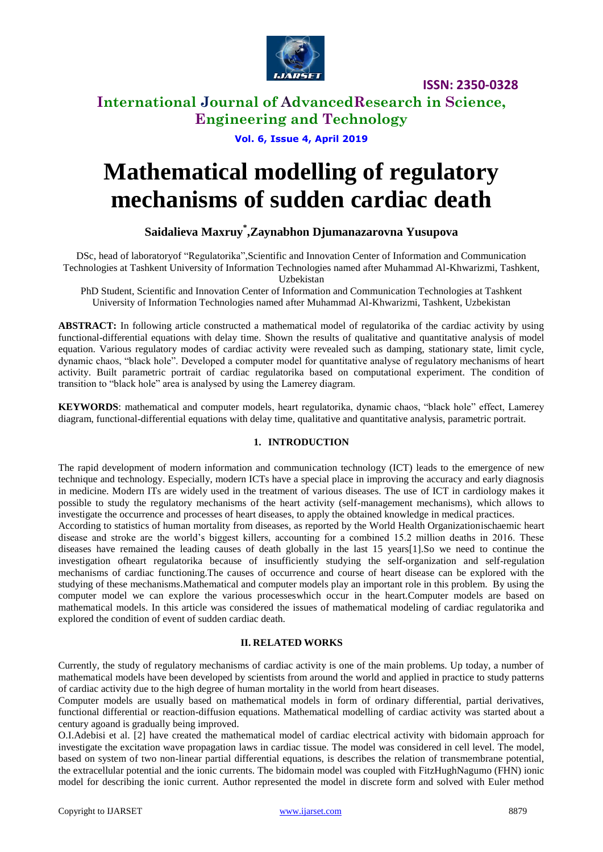

## **International Journal of AdvancedResearch in Science, Engineering and Technology**

**Vol. 6, Issue 4, April 2019**

# **Mathematical modelling of regulatory mechanisms of sudden cardiac death**

### **Saidalieva Maxruy\* ,Zaynabhon Djumanazarovna Yusupova**

DSc, head of laboratoryof "Regulatorika",Scientific and Innovation Center of Information and Communication Technologies at Tashkent University of Information Technologies named after Muhammad Al-Khwarizmi, Tashkent,

Uzbekistan

PhD Student, Scientific and Innovation Center of Information and Communication Technologies at Tashkent University of Information Technologies named after Muhammad Al-Khwarizmi, Tashkent, Uzbekistan

**ABSTRACT:** In following article constructed a mathematical model of regulatorika of the cardiac activity by using functional-differential equations with delay time. Shown the results of qualitative and quantitative analysis of model equation. Various regulatory modes of cardiac activity were revealed such as damping, stationary state, limit cycle, dynamic chaos, "black hole". Developed a computer model for quantitative analyse of regulatory mechanisms of heart activity. Built parametric portrait of cardiac regulatorika based on computational experiment. The condition of transition to "black hole" area is analysed by using the Lamerey diagram.

**KEYWORDS**: mathematical and computer models, heart regulatorika, dynamic chaos, "black hole" effect, Lamerey diagram, functional-differential equations with delay time, qualitative and quantitative analysis, parametric portrait.

#### **1. INTRODUCTION**

The rapid development of modern information and communication technology (ICT) leads to the emergence of new technique and technology. Especially, modern ICTs have a special place in improving the accuracy and early diagnosis in medicine. Modern ITs are widely used in the treatment of various diseases. The use of ICT in cardiology makes it possible to study the regulatory mechanisms of the heart activity (self-management mechanisms), which allows to investigate the occurrence and processes of heart diseases, to apply the obtained knowledge in medical practices.

According to statistics of human mortality from diseases, as reported by the World Health Organizationischaemic heart disease and stroke are the world's biggest killers, accounting for a combined 15.2 million deaths in 2016. These diseases have remained the leading causes of death globally in the last 15 years[1].So we need to continue the investigation ofheart regulatorika because of insufficiently studying the self-organization and self-regulation mechanisms of cardiac functioning.The causes of occurrence and course of heart disease can be explored with the studying of these mechanisms.Mathematical and computer models play an important role in this problem. By using the computer model we can explore the various processeswhich occur in the heart.Computer models are based on mathematical models. In this article was considered the issues of mathematical modeling of cardiac regulatorika and explored the condition of event of sudden cardiac death.

#### **II. RELATED WORKS**

Currently, the study of regulatory mechanisms of cardiac activity is one of the main problems. Up today, a number of mathematical models have been developed by scientists from around the world and applied in practice to study patterns of cardiac activity due to the high degree of human mortality in the world from heart diseases.

Computer models are usually based on mathematical models in form of ordinary differential, partial derivatives, functional differential or reaction-diffusion equations. Mathematical modelling of cardiac activity was started about a century agoand is gradually being improved.

O.I.Adebisi et al. [2] have created the mathematical model of cardiac electrical activity with bidomain approach for investigate the excitation wave propagation laws in cardiac tissue. The model was considered in cell level. The model, based on system of two non-linear partial differential equations, is describes the relation of transmembrane potential, the extracellular potential and the ionic currents. The bidomain model was coupled with FitzHughNagumo (FHN) ionic model for describing the ionic current. Author represented the model in discrete form and solved with Euler method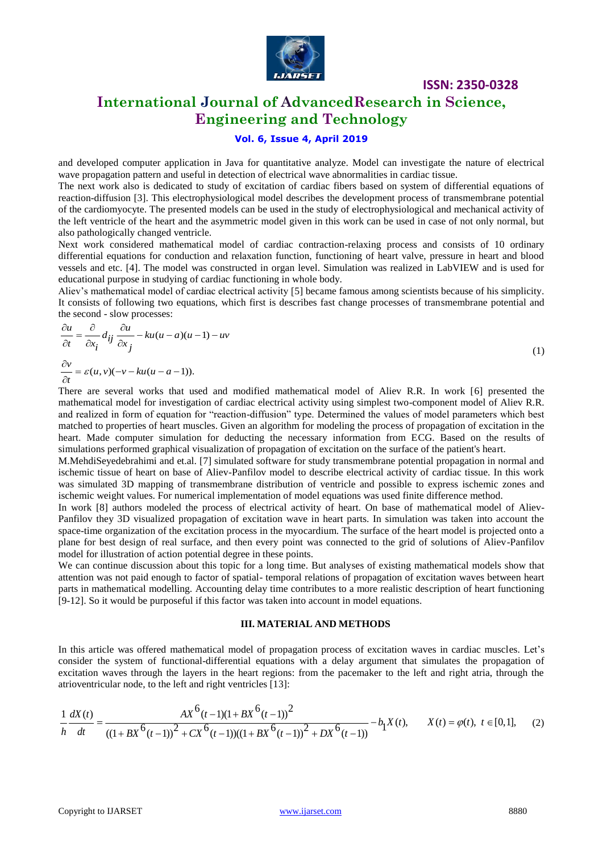

## **International Journal of AdvancedResearch in Science, Engineering and Technology**

#### **Vol. 6, Issue 4, April 2019**

and developed computer application in Java for quantitative analyze. Model can investigate the nature of electrical wave propagation pattern and useful in detection of electrical wave abnormalities in cardiac tissue.

The next work also is dedicated to study of excitation of cardiac fibers based on system of differential equations of reaction-diffusion [3]. This electrophysiological model describes the development process of transmembrane potential of the cardiomyocyte. The presented models can be used in the study of electrophysiological and mechanical activity of the left ventricle of the heart and the asymmetric model given in this work can be used in case of not only normal, but also pathologically changed ventricle.

Next work considered mathematical model of cardiac contraction-relaxing process and consists of 10 ordinary differential equations for conduction and relaxation function, functioning of heart valve, pressure in heart and blood vessels and etc. [4]. The model was constructed in organ level. Simulation was realized in LabVIEW and is used for educational purpose in studying of cardiac functioning in whole body.

Aliev's mathematical model of cardiac electrical activity [5] became famous among scientists because of his simplicity. It consists of following two equations, which first is describes fast change processes of transmembrane potential and the second - slow processes:<br> $\frac{\partial u}{\partial t} = \frac{\partial u}{\partial u} - k u(u - v)$ 

$$
\frac{\partial u}{\partial t} = \frac{\partial}{\partial x_i} d_{ij} \frac{\partial u}{\partial x_j} - ku(u - a)(u - 1) - uv
$$
\n(1)

$$
\frac{\partial v}{\partial t} = \varepsilon(u, v)(-v - ku(u - a - 1)).
$$

There are several works that used and modified mathematical model of Aliev R.R. In work [6] presented the mathematical model for investigation of cardiac electrical activity using simplest two-component model of Aliev R.R. and realized in form of equation for "reaction-diffusion" type. Determined the values of model parameters which best matched to properties of heart muscles. Given an algorithm for modeling the process of propagation of excitation in the heart. Made computer simulation for deducting the necessary information from ECG. Based on the results of simulations performed graphical visualization of propagation of excitation on the surface of the patient's heart.

M.MehdiSeyedebrahimi and et.al. [7] simulated software for study transmembrane potential propagation in normal and ischemic tissue of heart on base of Aliev-Panfilov model to describe electrical activity of cardiac tissue. In this work was simulated 3D mapping of transmembrane distribution of ventricle and possible to express ischemic zones and ischemic weight values. For numerical implementation of model equations was used finite difference method.

In work [8] authors modeled the process of electrical activity of heart. On base of mathematical model of Aliev-Panfilov they 3D visualized propagation of excitation wave in heart parts. In simulation was taken into account the space-time organization of the excitation process in the myocardium. The surface of the heart model is projected onto a plane for best design of real surface, and then every point was connected to the grid of solutions of Aliev-Panfilov model for illustration of action potential degree in these points.

We can continue discussion about this topic for a long time. But analyses of existing mathematical models show that attention was not paid enough to factor of spatial- temporal relations of propagation of excitation waves between heart parts in mathematical modelling. Accounting delay time contributes to a more realistic description of heart functioning [9-12]. So it would be purposeful if this factor was taken into account in model equations.

#### **III. MATERIAL AND METHODS**

In this article was offered mathematical model of propagation process of excitation waves in cardiac muscles. Let's consider the system of functional-differential equations with a delay argument that simulates the propagation of excitation waves through the layers in the heart regions: from the pacemaker to the left and right atria, through the atrioventricular node, to the left and right ventricles [13]: consider the system of functional-differential equations with a dexicutation waves through the layers in the heart regions: from the triver-tricular node, to the left and right ventricles [13]:<br>  $\frac{dX(t)}{dt} = \frac{AX^6(t-1)(1+BX^$ 

excitation waves through the layers in the heart regions: from the pacemaker to the left and right a triangle is at the ratioventricular node, to the left and right ventricles [13]:  
\n
$$
\frac{1}{h} \frac{dX(t)}{dt} = \frac{AX^6(t-1)(1+BX^6(t-1))^2}{((1+BX^6(t-1))^2+CX^6(t-1))((1+BX^6(t-1))^2+DX^6(t-1))} - b_1X(t), \qquad X(t) = \varphi(t), \ t \in [0,1], \quad (2)
$$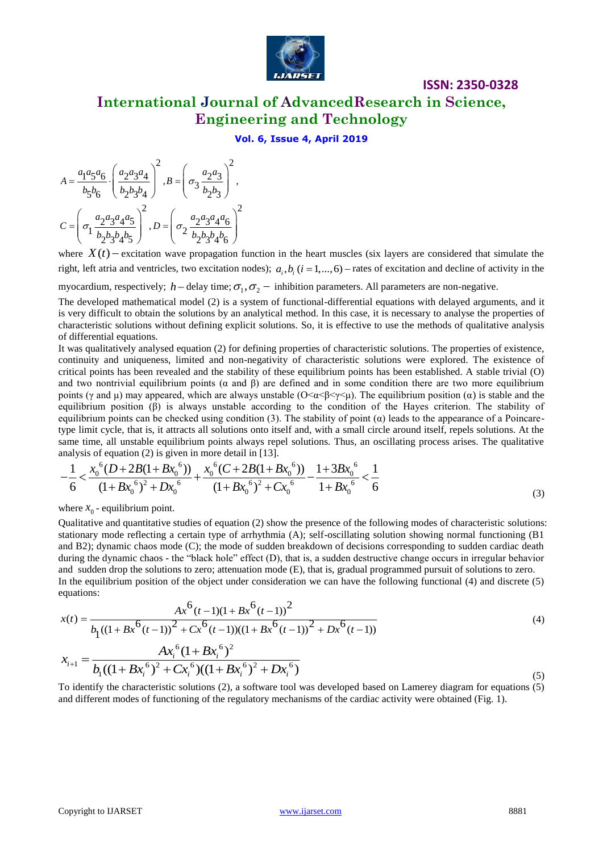

# **International Journal of AdvancedResearch in Science, Engineering and Technology**

**ISSN: 2350-0328**

#### **Vol. 6, Issue 4, April 2019**

$$
A = \frac{a_1 a_5 a_6}{b_5 b_6} \cdot \left(\frac{a_2 a_3 a_4}{b_2 b_3 b_4}\right)^2, B = \left(\sigma_3 \frac{a_2 a_3}{b_2 b_3}\right)^2,
$$
  

$$
C = \left(\sigma_1 \frac{a_2 a_3 a_4 a_5}{b_2 b_3 b_4 b_5}\right)^2, D = \left(\sigma_2 \frac{a_2 a_3 a_4 a_6}{b_2 b_3 b_4 b_6}\right)^2
$$

where  $X(t)$  – excitation wave propagation function in the heart muscles (six layers are considered that simulate the right, left atria and ventricles, two excitation nodes);  $a_i, b_i$  ( $i = 1,...,6$ ) – rates of excitation and decline of activity in the myocardium, respectively;  $h$  – delay time;  $\sigma_1, \sigma_2$  – inhibition parameters. All parameters are non-negative.

The developed mathematical model (2) is a system of functional-differential equations with delayed arguments, and it is very difficult to obtain the solutions by an analytical method. In this case, it is necessary to analyse the properties of characteristic solutions without defining explicit solutions. So, it is effective to use the methods of qualitative analysis of differential equations.

It was qualitatively analysed equation (2) for defining properties of characteristic solutions. The properties of existence, continuity and uniqueness, limited and non-negativity of characteristic solutions were explored. The existence of critical points has been revealed and the stability of these equilibrium points has been established. A stable trivial (O) and two nontrivial equilibrium points  $(\alpha$  and  $\beta)$  are defined and in some condition there are two more equilibrium points (γ and μ) may appeared, which are always unstable  $(O<\alpha<\beta<\gamma<\mu)$ . The equilibrium position (α) is stable and the equilibrium position (β) is always unstable according to the condition of the Hayes criterion. The stability of equilibrium points can be checked using condition (3). The stability of point  $(\alpha)$  leads to the appearance of a Poincaretype limit cycle, that is, it attracts all solutions onto itself and, with a small circle around itself, repels solutions. At the same time, all unstable equilibrium points always repel solutions. Thus, an oscillating process arises. The qualitative same time, an unstable equilibrium points always reper solutions. Thus,<br>analysis of equation (2) is given in more detail in [13].<br> $1 x_0^6 (D+2B(1+Bx_0^6)) x_0^6 (C+2B(1+Bx_0^6)) 1+3Bx_0^6$ be limit cycle, that is, it attracts all solutions onto itself and, with a small circle time, all unstable equilibrium points always repel solutions. Thus, an or allysis of equation (2) is given in more detail in [13].<br>

same time, all unstable equilibrium points always repel solutions. Thus, an oscillating process arises. The qualitative analysis of equation (2) is given in more detail in [13].  
\n
$$
-\frac{1}{6} < \frac{x_0^6 (D+2B(1+Bx_0^6))}{(1+Bx_0^6)^2+Dx_0^6} + \frac{x_0^6 (C+2B(1+Bx_0^6))}{(1+Bx_0^6)^2+Cx_0^6} - \frac{1}{1+Bx_0^6} < \frac{1}{6}
$$
\n(3)

where  $x_0$  - equilibrium point.

Qualitative and quantitative studies of equation (2) show the presence of the following modes of characteristic solutions: stationary mode reflecting a certain type of arrhythmia (A); self-oscillating solution showing normal functioning (B1 and B2); dynamic chaos mode (C); the mode of sudden breakdown of decisions corresponding to sudden cardiac death during the dynamic chaos - the "black hole" effect (D), that is, a sudden destructive change occurs in irregular behavior and sudden drop the solutions to zero; attenuation mode (E), that is, gradual programmed pursuit of solutions to zero. In the equilibrium position of the object under consideration we can have the following functional (4) and discrete (5) equations:<br>  $Ax(t) = \frac{Ax^6(t-1)(1+Bx^6(t-1))^2}{(4)}$ 

equations:  
\n
$$
x(t) = \frac{Ax^{6}(t-1)(1+Bx^{6}(t-1))^{2}}{b_{1}((1+Bx^{6}(t-1))^{2}+Cx^{6}(t-1))((1+Bx^{6}(t-1))^{2}+Dx^{6}(t-1))}
$$
\n
$$
x_{t+1} = \frac{Ax_{i}^{6}(1+Bx_{i}^{6})^{2}}{b_{1}[(1+Bx_{i}^{6})^{2}+Dx^{6}(t-1))^{2}+Dx^{6}(t-1)]}
$$
\n(4)

$$
x_{i+1} = \frac{Ax_i^6(1+Bx_i^6)^2}{b_1((1+Bx_i^6)^2+Cx_i^6)((1+Bx_i^6)^2+Dx_i^6)}
$$
\n(5)

To identify the characteristic solutions (2), a software tool was developed based on Lamerey diagram for equations (5) and different modes of functioning of the regulatory mechanisms of the cardiac activity were obtained (Fig. 1).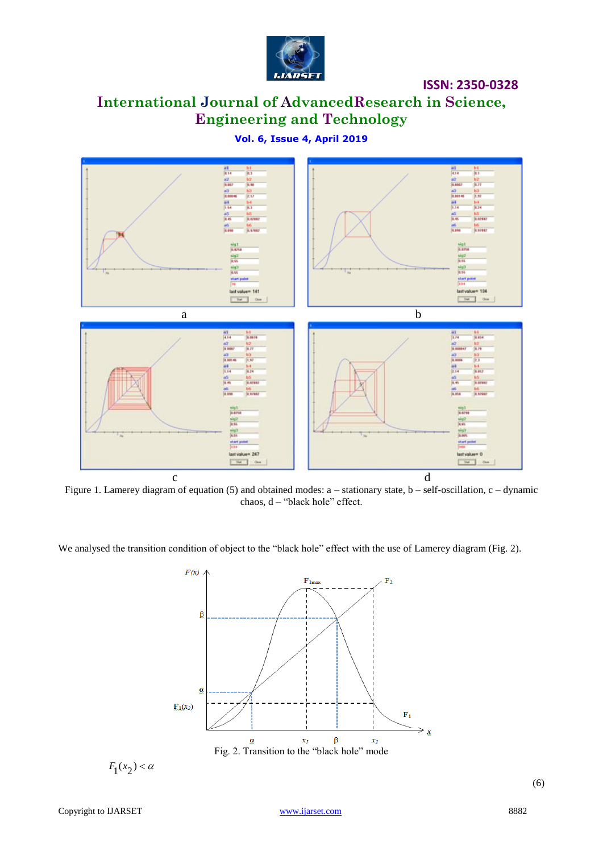

# **International Journal of AdvancedResearch in Science, Engineering and Technology**

**Vol. 6, Issue 4, April 2019**



Figure 1. Lamerey diagram of equation (5) and obtained modes: a – stationary state, b – self-oscillation, c – dynamic chaos, d – "black hole" effect.

We analysed the transition condition of object to the "black hole" effect with the use of Lamerey diagram (Fig. 2).



$$
F_1(x_2) < \alpha
$$

(6)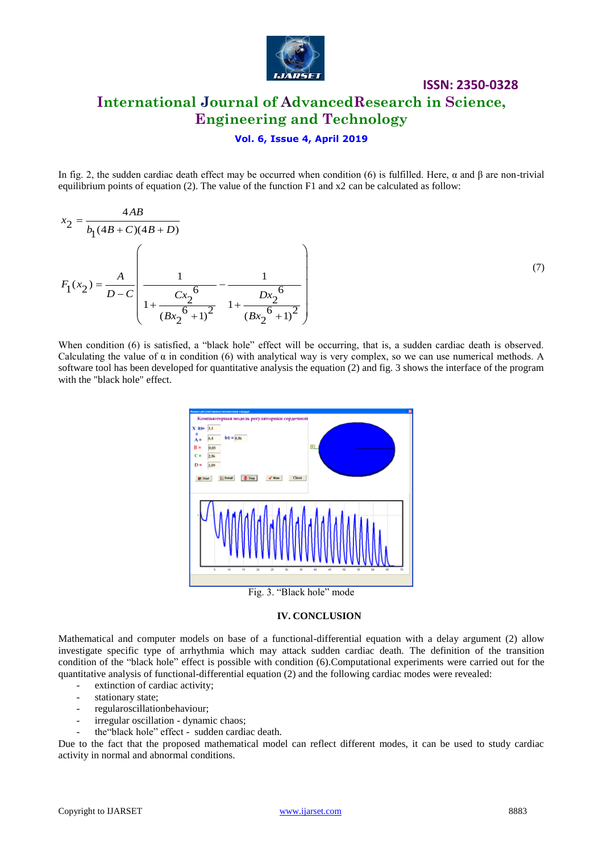

# **ISSN: 2350-0328 International Journal of AdvancedResearch in Science, Engineering and Technology**

#### **Vol. 6, Issue 4, April 2019**

In fig. 2, the sudden cardiac death effect may be occurred when condition (6) is fulfilled. Here, α and β are non-trivial equilibrium points of equation (2). The value of the function F1 and x2 can be calculated as follow:

$$
x_2 = \frac{4AB}{b_1(4B+C)(4B+D)}
$$
  

$$
F_1(x_2) = \frac{A}{D-C} \left( \frac{1}{1 + \frac{Cx_2^6}{(Bx_2^6+1)^2}} - \frac{1}{1 + \frac{Dx_2^6}{(Bx_2^6+1)^2}} \right)
$$

(7)

When condition (6) is satisfied, a "black hole" effect will be occurring, that is, a sudden cardiac death is observed. Calculating the value of  $\alpha$  in condition (6) with analytical way is very complex, so we can use numerical methods. A software tool has been developed for quantitative analysis the equation (2) and fig. 3 shows the interface of the program with the "black hole" effect.



#### **IV. CONCLUSION**

Mathematical and computer models on base of a functional-differential equation with a delay argument (2) allow investigate specific type of arrhythmia which may attack sudden cardiac death. The definition of the transition condition of the "black hole" effect is possible with condition (6).Computational experiments were carried out for the quantitative analysis of functional-differential equation (2) and the following cardiac modes were revealed:

- extinction of cardiac activity;
- stationary state;
- regularoscillationbehaviour;
- irregular oscillation dynamic chaos;
- the "black hole" effect sudden cardiac death.

Due to the fact that the proposed mathematical model can reflect different modes, it can be used to study cardiac activity in normal and abnormal conditions.